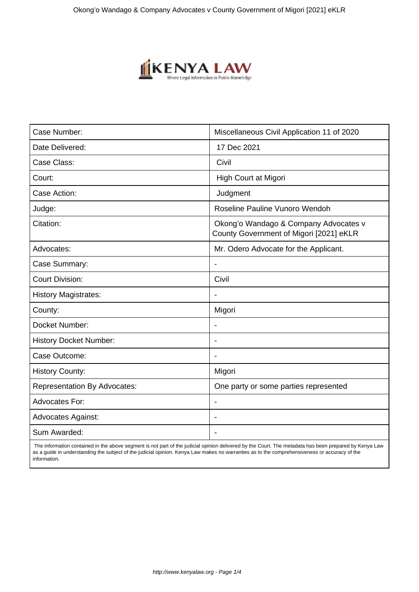

| Case Number:                        | Miscellaneous Civil Application 11 of 2020                                       |
|-------------------------------------|----------------------------------------------------------------------------------|
| Date Delivered:                     | 17 Dec 2021                                                                      |
| Case Class:                         | Civil                                                                            |
| Court:                              | High Court at Migori                                                             |
| Case Action:                        | Judgment                                                                         |
| Judge:                              | Roseline Pauline Vunoro Wendoh                                                   |
| Citation:                           | Okong'o Wandago & Company Advocates v<br>County Government of Migori [2021] eKLR |
| Advocates:                          | Mr. Odero Advocate for the Applicant.                                            |
| Case Summary:                       |                                                                                  |
| <b>Court Division:</b>              | Civil                                                                            |
| <b>History Magistrates:</b>         | $\blacksquare$                                                                   |
| County:                             | Migori                                                                           |
| Docket Number:                      |                                                                                  |
| <b>History Docket Number:</b>       |                                                                                  |
| Case Outcome:                       |                                                                                  |
| <b>History County:</b>              | Migori                                                                           |
| <b>Representation By Advocates:</b> | One party or some parties represented                                            |
| <b>Advocates For:</b>               |                                                                                  |
| <b>Advocates Against:</b>           |                                                                                  |
| Sum Awarded:                        |                                                                                  |

 The information contained in the above segment is not part of the judicial opinion delivered by the Court. The metadata has been prepared by Kenya Law as a guide in understanding the subject of the judicial opinion. Kenya Law makes no warranties as to the comprehensiveness or accuracy of the information.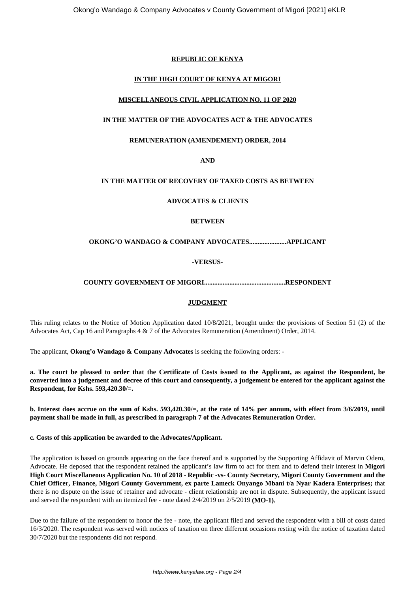## **REPUBLIC OF KENYA**

# **IN THE HIGH COURT OF KENYA AT MIGORI**

## **MISCELLANEOUS CIVIL APPLICATION NO. 11 OF 2020**

# **IN THE MATTER OF THE ADVOCATES ACT & THE ADVOCATES**

## **REMUNERATION (AMENDEMENT) ORDER, 2014**

## **AND**

# **IN THE MATTER OF RECOVERY OF TAXED COSTS AS BETWEEN**

#### **ADVOCATES & CLIENTS**

#### **BETWEEN**

#### **OKONG'O WANDAGO & COMPANY ADVOCATES......................APPLICANT**

#### **-VERSUS-**

#### **COUNTY GOVERNMENT OF MIGORI................................................RESPONDENT**

#### **JUDGMENT**

This ruling relates to the Notice of Motion Application dated 10/8/2021, brought under the provisions of Section 51 (2) of the Advocates Act, Cap 16 and Paragraphs 4 & 7 of the Advocates Remuneration (Amendment) Order, 2014.

The applicant, **Okong'o Wandago & Company Advocates** is seeking the following orders: -

**a. The court be pleased to order that the Certificate of Costs issued to the Applicant, as against the Respondent, be converted into a judgement and decree of this court and consequently, a judgement be entered for the applicant against the Respondent, for Kshs. 593,420.30/=.**

**b. Interest does accrue on the sum of Kshs. 593,420.30/=, at the rate of 14% per annum, with effect from 3/6/2019, until payment shall be made in full, as prescribed in paragraph 7 of the Advocates Remuneration Order.** 

**c. Costs of this application be awarded to the Advocates/Applicant.**

The application is based on grounds appearing on the face thereof and is supported by the Supporting Affidavit of Marvin Odero, Advocate. He deposed that the respondent retained the applicant's law firm to act for them and to defend their interest in **Migori High Court Miscellaneous Application No. 10 of 2018 - Republic -vs- County Secretary, Migori County Government and the Chief Officer, Finance, Migori County Government, ex parte Lameck Onyango Mbani t/a Nyar Kadera Enterprises;** that there is no dispute on the issue of retainer and advocate - client relationship are not in dispute. Subsequently, the applicant issued and served the respondent with an itemized fee - note dated 2/4/2019 on 2/5/2019 **(MO-1).**

Due to the failure of the respondent to honor the fee - note, the applicant filed and served the respondent with a bill of costs dated 16/3/2020. The respondent was served with notices of taxation on three different occasions resting with the notice of taxation dated 30/7/2020 but the respondents did not respond.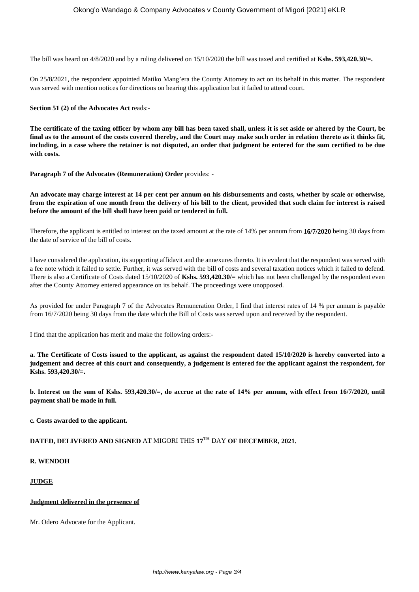The bill was heard on 4/8/2020 and by a ruling delivered on 15/10/2020 the bill was taxed and certified at **Kshs. 593,420.30/=.**

On 25/8/2021, the respondent appointed Matiko Mang'era the County Attorney to act on its behalf in this matter. The respondent was served with mention notices for directions on hearing this application but it failed to attend court.

**Section 51 (2) of the Advocates Act** reads:-

**The certificate of the taxing officer by whom any bill has been taxed shall, unless it is set aside or altered by the Court, be final as to the amount of the costs covered thereby, and the Court may make such order in relation thereto as it thinks fit, including, in a case where the retainer is not disputed, an order that judgment be entered for the sum certified to be due with costs.**

**Paragraph 7 of the Advocates (Remuneration) Order** provides: -

**An advocate may charge interest at 14 per cent per annum on his disbursements and costs, whether by scale or otherwise, from the expiration of one month from the delivery of his bill to the client, provided that such claim for interest is raised before the amount of the bill shall have been paid or tendered in full.**

Therefore, the applicant is entitled to interest on the taxed amount at the rate of 14% per annum from **16/7/2020** being 30 days from the date of service of the bill of costs.

I have considered the application, its supporting affidavit and the annexures thereto. It is evident that the respondent was served with a fee note which it failed to settle. Further, it was served with the bill of costs and several taxation notices which it failed to defend. There is also a Certificate of Costs dated 15/10/2020 of **Kshs. 593,420.30/=** which has not been challenged by the respondent even after the County Attorney entered appearance on its behalf. The proceedings were unopposed.

As provided for under Paragraph 7 of the Advocates Remuneration Order, I find that interest rates of 14 % per annum is payable from 16/7/2020 being 30 days from the date which the Bill of Costs was served upon and received by the respondent.

I find that the application has merit and make the following orders:-

**a. The Certificate of Costs issued to the applicant, as against the respondent dated 15/10/2020 is hereby converted into a judgement and decree of this court and consequently, a judgement is entered for the applicant against the respondent, for Kshs. 593,420.30/=.**

**b. Interest on the sum of Kshs. 593,420.30/=, do accrue at the rate of 14% per annum, with effect from 16/7/2020, until payment shall be made in full.** 

**c. Costs awarded to the applicant.**

# **DATED, DELIVERED AND SIGNED** AT MIGORI THIS **17TH** DAY **OF DECEMBER, 2021.**

# **R. WENDOH**

# **JUDGE**

#### **Judgment delivered in the presence of**

Mr. Odero Advocate for the Applicant.